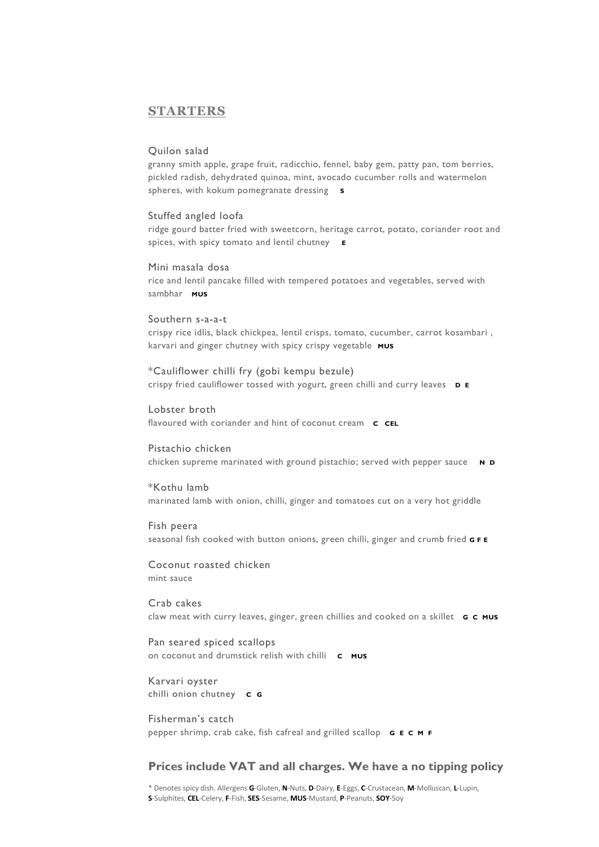# **STARTERS**

### Quilon salad

granny smith apple, grape fruit, radicchio, fennel, baby gem, patty pan, tom berries, pickled radish, dehydrated quinoa, mint, avocado cucumber rolls and watermelon spheres, with kokum pomegranate dressing s

### Stuffed angled loofa

ridge gourd batter fried with sweetcorn, heritage carrot, potato, coriander root and spices, with spicy tomato and lentil chutney  $E$ 

Mini masala dosa rice and lentil pancake filled with tempered potatoes and vegetables, served with sambhar **MUS** 

Southern s-a-a-t crispy rice idlis, black chickpea, lentil crisps, tomato, cucumber, carrot kosambari , karvari and ginger chutney with spicy crispy vegetable **MUS** 

\*Cauliflower chilli fry (gobi kempu bezule) crispy fried cauliflower tossed with yogurt, green chilli and curry leaves  $D$  E

Lobster broth flavoured with coriander and hint of coconut cream **C CEL** 

Pistachio chicken chicken supreme marinated with ground pistachio; served with pepper sauce  $N$  D

\*Kothu lamb marinated lamb with onion, chilli, ginger and tomatoes cut on a very hot griddle

Fish peera seasonal fish cooked with button onions, green chilli, ginger and crumb fried  $GFE$ 

Coconut roasted chicken mint sauce

Crab cakes claw meat with curry leaves, ginger, green chillies and cooked on a skillet G C MUS

Pan seared spiced scallops on coconut and drumstick relish with chilli **c** MUS

Karvari oyster chilli onion chutney c G

Fisherman's catch pepper shrimp, crab cake, fish cafreal and grilled scallop  $G \nvert G \nvert H \nvert F$ 

## Prices include VAT and all charges. We have a no tipping policy

\* Denotes spicy dish. Allergens G-Gluten, N-Nuts, D-Dairy, E-Eggs, C-Crustacean, M-Molluscan, L-Lupin, S-Sulphites, CEL-Celery, F-Fish, SES-Sesame, MUS-Mustard, P-Peanuts, SOY-Soy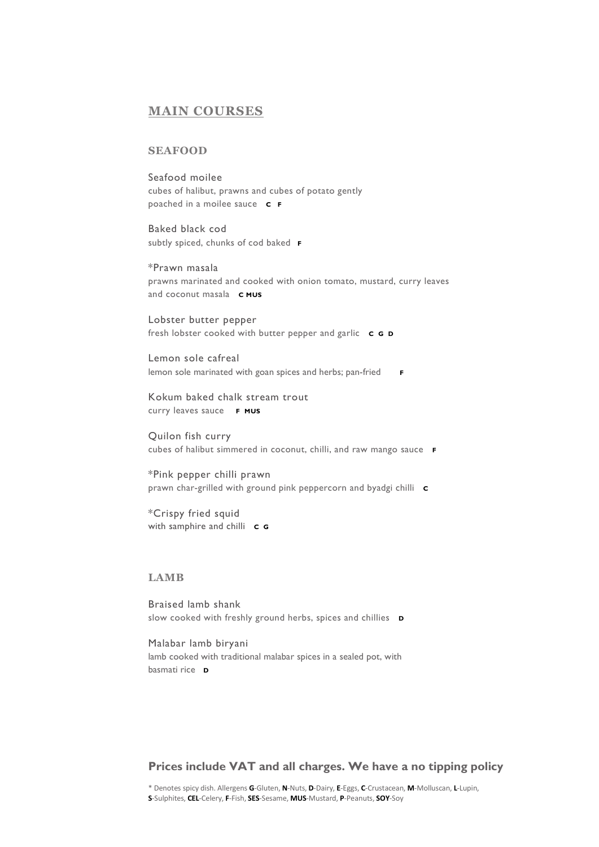## MAIN COURSES

## **SEAFOOD**

Seafood moilee cubes of halibut, prawns and cubes of potato gently poached in a moilee sauce  $C$  F

Baked black cod subtly spiced, chunks of cod baked F

\*Prawn masala prawns marinated and cooked with onion tomato, mustard, curry leaves and coconut masala  $C$  MUS

Lobster butter pepper fresh lobster cooked with butter pepper and garlic c G D

Lemon sole cafreal lemon sole marinated with goan spices and herbs; pan-fried F

Kokum baked chalk stream trout curry leaves sauce F MUS

Quilon fish curry cubes of halibut simmered in coconut, chilli, and raw mango sauce <sup>F</sup>

\*Pink pepper chilli prawn prawn char-grilled with ground pink peppercorn and byadgi chilli c

\*Crispy fried squid with samphire and chilli  $c$   $c$ 

## **LAMB**

Braised lamb shank slow cooked with freshly ground herbs, spices and chillies **D** 

Malabar lamb biryani lamb cooked with traditional malabar spices in a sealed pot, with basmati rice **D** 

Prices include VAT and all charges. We have a no tipping policy

\* Denotes spicy dish. Allergens G-Gluten, N-Nuts, D-Dairy, E-Eggs, C-Crustacean, M-Molluscan, L-Lupin, S-Sulphites, CEL-Celery, F-Fish, SES-Sesame, MUS-Mustard, P-Peanuts, SOY-Soy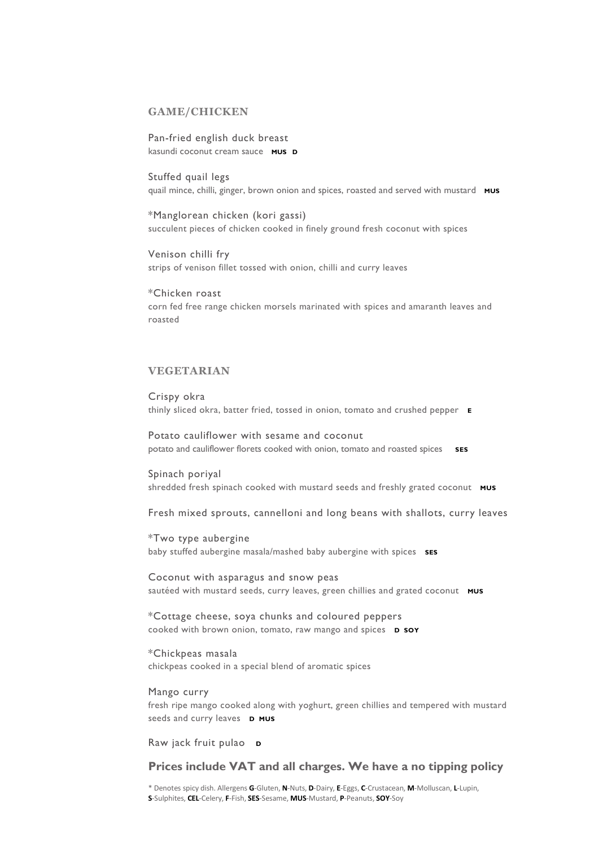## GAME/CHICKEN

Pan-fried english duck breast kasundi coconut cream sauce MUS D

Stuffed quail legs quail mince, chilli, ginger, brown onion and spices, roasted and served with mustard MUS

\*Manglorean chicken (kori gassi) succulent pieces of chicken cooked in finely ground fresh coconut with spices

Venison chilli fry strips of venison fillet tossed with onion, chilli and curry leaves

\*Chicken roast corn fed free range chicken morsels marinated with spices and amaranth leaves and roasted

## VEGETARIAN

Crispy okra thinly sliced okra, batter fried, tossed in onion, tomato and crushed pepper **E** 

Potato cauliflower with sesame and coconut potato and cauliflower florets cooked with onion, tomato and roasted spices ses

Spinach poriyal shredded fresh spinach cooked with mustard seeds and freshly grated coconut MUS

Fresh mixed sprouts, cannelloni and long beans with shallots, curry leaves

\*Two type aubergine baby stuffed aubergine masala/mashed baby aubergine with spices ses

Coconut with asparagus and snow peas sautéed with mustard seeds, curry leaves, green chillies and grated coconut MUS

\*Cottage cheese, soya chunks and coloured peppers cooked with brown onion, tomato, raw mango and spices **D SOY** 

\*Chickpeas masala chickpeas cooked in a special blend of aromatic spices

Mango curry fresh ripe mango cooked along with yoghurt, green chillies and tempered with mustard seeds and curry leaves D MUS

Raw jack fruit pulao **D** 

## Prices include VAT and all charges. We have a no tipping policy

\* Denotes spicy dish. Allergens G-Gluten, N-Nuts, D-Dairy, E-Eggs, C-Crustacean, M-Molluscan, L-Lupin, S-Sulphites, CEL-Celery, F-Fish, SES-Sesame, MUS-Mustard, P-Peanuts, SOY-Soy